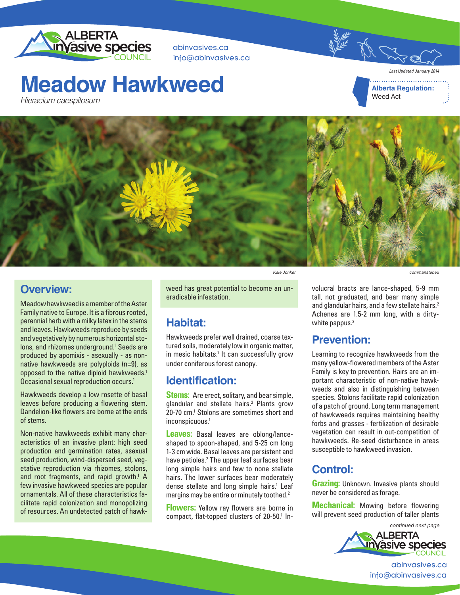

abinvasives.ca info@abinvasives.ca

## **Meadow Hawkweed**

**Alberta Regulation:** Weed Act

*Last Updated January 2014*

commanster.eu





#### **Overview:**

Meadow hawkweed is a member of the Aster Family native to Europe. It is a fibrous rooted, perennial herb with a milky latex in the stems and leaves. Hawkweeds reproduce by seeds and vegetatively by numerous horizontal stolons, and rhizomes underground.<sup>1</sup> Seeds are produced by apomixis - asexually - as nonnative hawkweeds are polyploids (n=9), as opposed to the native diploid hawkweeds.<sup>1</sup> Occasional sexual reproduction occurs.<sup>1</sup>

Hawkweeds develop a low rosette of basal leaves before producing a flowering stem. Dandelion-like flowers are borne at the ends of stems.

Non-native hawkweeds exhibit many characteristics of an invasive plant: high seed production and germination rates, asexual seed production, wind-dispersed seed, vegetative reproduction via rhizomes, stolons, and root fragments, and rapid growth.<sup>1</sup> A few invasive hawkweed species are popular ornamentals. All of these characteristics facilitate rapid colonization and monopolizing of resources. An undetected patch of hawkKale Jonker

weed has great potential to become an uneradicable infestation.

#### **Habitat:**

Hawkweeds prefer well drained, coarse textured soils, moderately low in organic matter, in mesic habitats.<sup>1</sup> It can successfully grow under coniferous forest canopy.

#### **Identification:**

**Stems:** Are erect, solitary, and bear simple, glandular and stellate hairs.<sup>2</sup> Plants grow 20-70 cm.<sup>1</sup> Stolons are sometimes short and inconspicuous.1

**Leaves:** Basal leaves are oblong/lanceshaped to spoon-shaped, and 5-25 cm long 1-3 cm wide. Basal leaves are persistent and have petioles.<sup>2</sup> The upper leaf surfaces bear long simple hairs and few to none stellate hairs. The lower surfaces bear moderately dense stellate and long simple hairs.<sup>1</sup> Leaf margins may be entire or minutely toothed.<sup>2</sup>

**Flowers:** Yellow ray flowers are borne in compact, flat-topped clusters of 20-50.<sup>1</sup> Involucral bracts are lance-shaped, 5-9 mm tall, not graduated, and bear many simple and glandular hairs, and a few stellate hairs.<sup>2</sup> Achenes are 1.5-2 mm long, with a dirtywhite pappus.<sup>2</sup>

### **Prevention:**

Learning to recognize hawkweeds from the many yellow-flowered members of the Aster Family is key to prevention. Hairs are an important characteristic of non-native hawkweeds and also in distinguishing between species. Stolons facilitate rapid colonization of a patch of ground. Long term management of hawkweeds requires maintaining healthy forbs and grasses - fertilization of desirable vegetation can result in out-competition of hawkweeds. Re-seed disturbance in areas susceptible to hawkweed invasion.

### **Control:**

**Grazing:** Unknown. Invasive plants should never be considered as forage.

**Mechanical:** Mowing before flowering will prevent seed production of taller plants

> continued next page **ALBERTA Invasive species**

> > abinvasives.ca info@abinvasives.ca